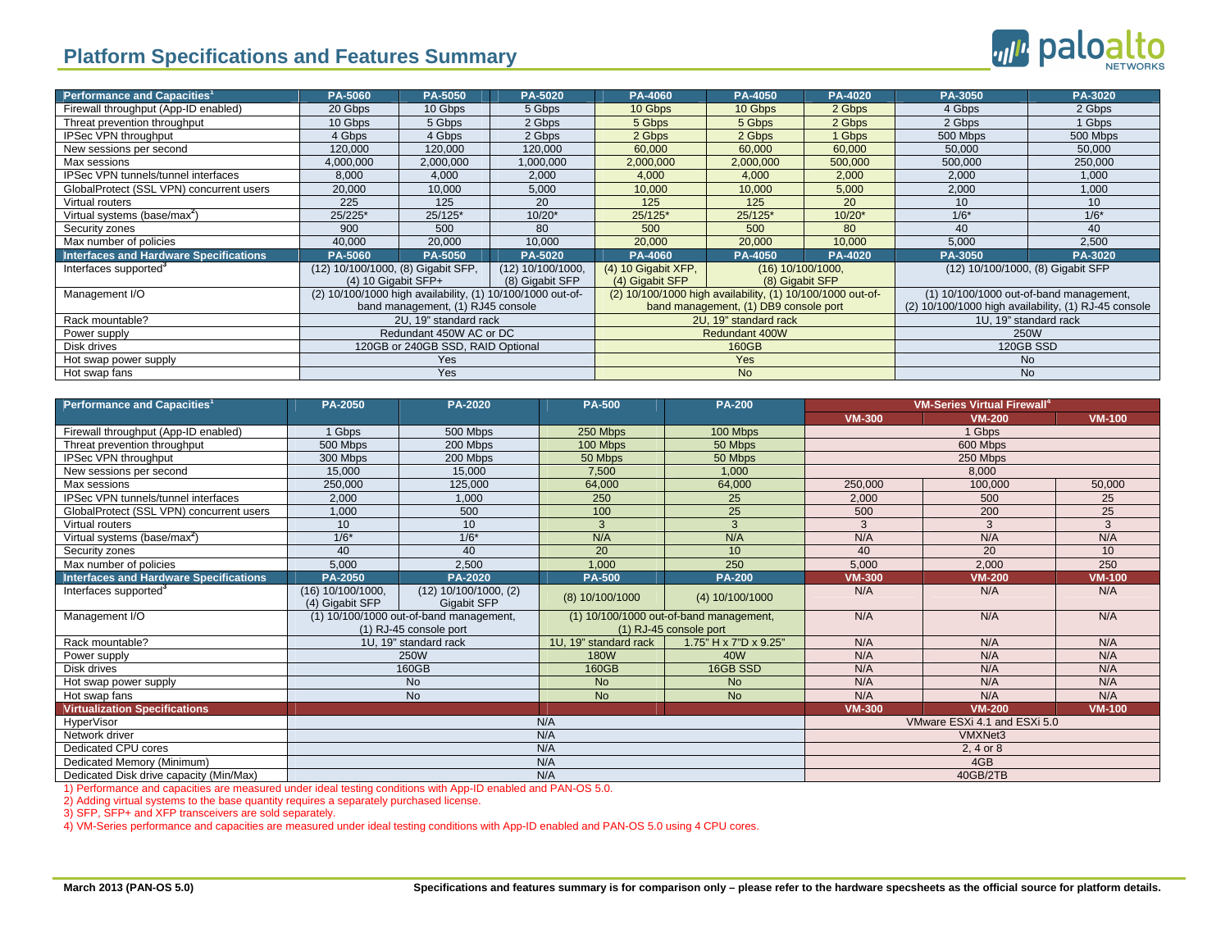## **Platform Specifications and Features Summary**

| Performance and Capacities <sup>1</sup>  | PA-5060                                                                                               | PA-5050   | PA-5020                                                                                             | PA-4060                              | <b>PA-4050</b> | PA-4020                                                                                         | PA-3050               | PA-3020  |
|------------------------------------------|-------------------------------------------------------------------------------------------------------|-----------|-----------------------------------------------------------------------------------------------------|--------------------------------------|----------------|-------------------------------------------------------------------------------------------------|-----------------------|----------|
| Firewall throughput (App-ID enabled)     | 20 Gbps                                                                                               | 10 Gbps   | 5 Gbps                                                                                              | 10 Gbps                              | 10 Gbps        | 2 Gbps                                                                                          | 4 Gbps                | 2 Gbps   |
| Threat prevention throughput             | 10 Gbps                                                                                               | 5 Gbps    | 2 Gbps                                                                                              | 5 Gbps                               | 5 Gbps         | 2 Gbps                                                                                          | 2 Gbps                | 1 Gbps   |
| IPSec VPN throughput                     | 4 Gbps                                                                                                | 4 Gbps    | 2 Gbps                                                                                              | 2 Gbps                               | 2 Gbps         | 1 Gbps                                                                                          | 500 Mbps              | 500 Mbps |
| New sessions per second                  | 120.000                                                                                               | 120,000   | 120.000                                                                                             | 60,000                               | 60,000         | 60.000                                                                                          | 50.000                | 50,000   |
| Max sessions                             | 4,000,000                                                                                             | 2,000,000 | 000,000,                                                                                            | 2,000,000                            | 2,000,000      | 500,000                                                                                         | 500,000               | 250,000  |
| IPSec VPN tunnels/tunnel interfaces      | 8,000                                                                                                 | 4,000     | 2,000                                                                                               | 4,000                                | 4,000          | 2,000                                                                                           | 2,000                 | 1,000    |
| GlobalProtect (SSL VPN) concurrent users | 20,000                                                                                                | 10,000    | 5,000                                                                                               | 10,000                               | 10,000         | 5,000                                                                                           | 2,000                 | 1,000    |
| Virtual routers                          | 225                                                                                                   | 125       | 20                                                                                                  | 125                                  | 125            | 20                                                                                              | 10                    | 10       |
| Virtual systems (base/max <sup>2</sup> ) | 25/225*                                                                                               | $25/125*$ | $10/20*$                                                                                            | 25/125*                              | 25/125*        | $10/20*$                                                                                        | $1/6*$                | $1/6*$   |
| Security zones                           | 900                                                                                                   | 500       | 80                                                                                                  | 500                                  | 500            | 80                                                                                              | 40                    | 40       |
| Max number of policies                   | 40,000                                                                                                | 20,000    | 10,000                                                                                              | 20,000                               | 20,000         | 10,000                                                                                          | 5,000                 | 2,500    |
| Interfaces and Hardware Specifications   | PA-5060                                                                                               | PA-5050   | PA-5020                                                                                             | PA-4060                              | PA-4050        | PA-4020                                                                                         | PA-3050               | PA-3020  |
| Interfaces supported <sup>3</sup>        | (12) 10/100/1000, (8) Gigabit SFP,<br>$(12)$ 10/100/1000,<br>$(4)$ 10 Gigabit SFP+<br>(8) Gigabit SFP |           | (4) 10 Gigabit XFP,<br>(4) Gigabit SFP                                                              | (16) 10/100/1000,<br>(8) Gigabit SFP |                | (12) 10/100/1000, (8) Gigabit SFP                                                               |                       |          |
| Management I/O                           | (2) 10/100/1000 high availability, (1) 10/100/1000 out-of-<br>band management, (1) RJ45 console       |           | (2) 10/100/1000 high availability, (1) 10/100/1000 out-of-<br>band management, (1) DB9 console port |                                      |                | (1) 10/100/1000 out-of-band management,<br>(2) 10/100/1000 high availability, (1) RJ-45 console |                       |          |
| Rack mountable?                          | 2U, 19" standard rack                                                                                 |           |                                                                                                     | 2U, 19" standard rack                |                |                                                                                                 | 1U, 19" standard rack |          |
| Power supply                             | Redundant 450W AC or DC                                                                               |           |                                                                                                     | <b>Redundant 400W</b>                |                |                                                                                                 | <b>250W</b>           |          |
| Disk drives                              | 120GB or 240GB SSD, RAID Optional                                                                     |           |                                                                                                     | 160GB                                |                |                                                                                                 | <b>120GB SSD</b>      |          |
| Hot swap power supply                    | <b>Yes</b>                                                                                            |           |                                                                                                     | <b>Yes</b>                           |                |                                                                                                 | <b>No</b>             |          |
| Hot swap fans                            | Yes                                                                                                   |           |                                                                                                     | <b>No</b>                            |                |                                                                                                 | <b>No</b>             |          |

| Performance and Capacities <sup>1</sup>       | PA-2050                                                           | <b>PA-2020</b>                                  | <b>PA-500</b>                                                     | <b>PA-200</b>                | <b>VM-Series Virtual Firewall</b> <sup>4</sup> |               |               |  |
|-----------------------------------------------|-------------------------------------------------------------------|-------------------------------------------------|-------------------------------------------------------------------|------------------------------|------------------------------------------------|---------------|---------------|--|
|                                               |                                                                   |                                                 |                                                                   |                              | <b>VM-300</b>                                  | <b>VM-200</b> | <b>VM-100</b> |  |
| Firewall throughput (App-ID enabled)          | 500 Mbps<br>1 Gbps                                                |                                                 | 250 Mbps                                                          | 100 Mbps                     | 1 Gbps                                         |               |               |  |
| Threat prevention throughput                  | 500 Mbps<br>200 Mbps                                              |                                                 | 100 Mbps                                                          | 50 Mbps                      | 600 Mbps                                       |               |               |  |
| IPSec VPN throughput                          | 300 Mbps<br>200 Mbps                                              |                                                 | 50 Mbps                                                           | 50 Mbps                      | 250 Mbps                                       |               |               |  |
| New sessions per second                       | 15.000                                                            | 15.000                                          | 7,500                                                             | 1.000                        | 8,000                                          |               |               |  |
| Max sessions                                  | 250,000                                                           | 125,000                                         | 64,000                                                            | 64,000                       | 250,000                                        | 100,000       | 50,000        |  |
| IPSec VPN tunnels/tunnel interfaces           | 2,000                                                             | 1,000                                           | 250                                                               | 25                           | 2,000                                          | 500           | 25            |  |
| GlobalProtect (SSL VPN) concurrent users      | 1,000                                                             | 500                                             | 100                                                               | $\overline{25}$              | 500                                            | 200           | 25            |  |
| Virtual routers                               | 10                                                                | 10 <sup>1</sup>                                 | 3                                                                 | $\mathcal{R}$                | 3                                              | 3             | 3             |  |
| Virtual systems (base/max <sup>2</sup> )      | $1/6*$                                                            | $1/6*$                                          | N/A                                                               | N/A                          | N/A                                            | N/A           | N/A           |  |
| Security zones                                | 40                                                                | 40                                              | 20                                                                | 10                           | 40                                             | 20            | 10            |  |
| Max number of policies                        | 5,000                                                             | 2,500                                           | 1,000                                                             | 250                          | 5,000                                          | 2,000         | 250           |  |
| <b>Interfaces and Hardware Specifications</b> | <b>PA-2050</b>                                                    | <b>PA-2020</b>                                  | <b>PA-500</b>                                                     | <b>PA-200</b>                | <b>VM-300</b>                                  | VM-200        | <b>VM-100</b> |  |
| Interfaces supported <sup>3</sup>             | (16) 10/100/1000,<br>(4) Gigabit SFP                              | $(12)$ 10/100/1000, $(2)$<br><b>Gigabit SFP</b> | (8) 10/100/1000                                                   | (4) 10/100/1000              | N/A                                            | N/A           | N/A           |  |
| Management I/O                                | (1) 10/100/1000 out-of-band management,<br>(1) RJ-45 console port |                                                 | (1) 10/100/1000 out-of-band management,<br>(1) RJ-45 console port |                              | N/A                                            | N/A           | N/A           |  |
| Rack mountable?                               | 1U, 19" standard rack                                             |                                                 | 1U, 19" standard rack                                             | 1.75" H x 7"D x 9.25"        | N/A                                            | N/A           | N/A           |  |
| Power supply                                  | <b>250W</b>                                                       |                                                 | <b>180W</b>                                                       | 40 <sub>W</sub>              | N/A                                            | N/A           | N/A           |  |
| Disk drives                                   | 160GB                                                             |                                                 | 160GB                                                             | 16GB SSD                     | N/A                                            | N/A           | N/A           |  |
| Hot swap power supply                         | No                                                                |                                                 | <b>No</b>                                                         | <b>No</b>                    | N/A                                            | N/A           | N/A           |  |
| Hot swap fans                                 | <b>No</b>                                                         |                                                 | <b>No</b>                                                         | <b>No</b>                    | N/A                                            | N/A           | N/A           |  |
| <b>Virtualization Specifications</b>          |                                                                   |                                                 |                                                                   |                              | <b>VM-300</b>                                  | <b>VM-200</b> | <b>VM-100</b> |  |
| <b>HyperVisor</b>                             | N/A                                                               |                                                 |                                                                   | VMware ESXi 4.1 and ESXi 5.0 |                                                |               |               |  |
| Network driver                                | N/A                                                               |                                                 |                                                                   | VMXNet3                      |                                                |               |               |  |
| Dedicated CPU cores                           | N/A                                                               |                                                 |                                                                   | 2.4 or 8                     |                                                |               |               |  |
| Dedicated Memory (Minimum)                    | N/A                                                               |                                                 |                                                                   | 4GB                          |                                                |               |               |  |
| Dedicated Disk drive capacity (Min/Max)       | N/A                                                               |                                                 |                                                                   |                              | 40GB/2TB                                       |               |               |  |

1) Performance and capacities are measured under ideal testing conditions with App-ID enabled and PAN-OS 5.0.

2) Adding virtual systems to the base quantity requires a separately purchased license.

3) SFP, SFP+ and XFP transceivers are sold separately.

4) VM-Series performance and capacities are measured under ideal testing conditions with App-ID enabled and PAN-OS 5.0 using 4 CPU cores.

ville paloalto